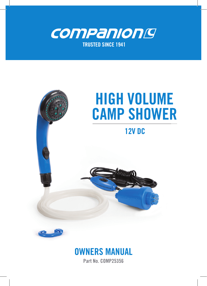







Part No. COMP25356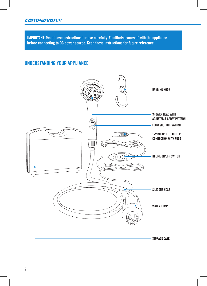#### companiong

**IMPORTANT: Read these instructions for use carefully. Familiarise yourself with the appliance before connecting to DC power source. Keep these instructions for future reference.** 

## UNDERSTANDING YOUR APPLIANCE

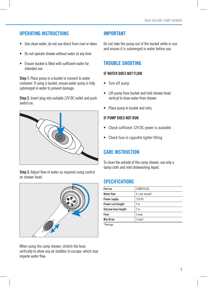## OPERATING INSTRUCTIONS

- Use clean water, do not use direct from river or lakes
- Do not operate shower without water at any time
- Ensure bucket is filled with sufficient water for intended use

Step 1. Place pump in a bucket or connect to water container. If using a bucket, ensure water pump is fully submerged in water to prevent damage.

Step 2. Insert plug into suitable 12V DC outlet and push switch on.



Step 3. Adjust flow of water as required using control on shower head.



When using the camp shower, stretch the hose vertically to allow any air bubbles to escape, which may impede water flow.

## IMPORTANT

Do not take the pump out of the bucket while in use and ensure it is submerged in water before use.

## TROUBLE SHOOTING

#### IF WATER DOES NOT FLOW

- Turn off pump
- Lift pump from bucket and hold shower head vertical to draw water from shower
- Place pump in bucket and retry

#### IF PUMP DOES NOT RUN

- Check sufficient 12V DC power is available
- Check fuse in cigarette lighter fitting

# CARE INSTRUCTION

To clean the outside of the camp shower, use only a damp cloth and mild dishwashing liquid.

### SPECIFICATIONS

| Part no.             | COMP25356       |
|----------------------|-----------------|
| <b>Water flow</b>    | 6 L per minute* |
| Power supply         | 12V DC          |
| Power cord length    | 5 <sub>m</sub>  |
| Silicone hose length | 2 <sub>m</sub>  |
| <b>Fuse</b>          | 5 amp           |
| Max Draw             | $3$ amp*        |
| *Average             |                 |